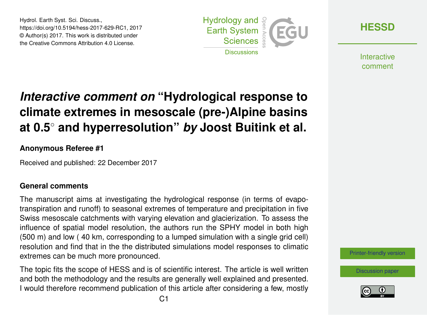Hydrol. Earth Syst. Sci. Discuss., https://doi.org/10.5194/hess-2017-629-RC1, 2017 © Author(s) 2017. This work is distributed under the Creative Commons Attribution 4.0 License.



**[HESSD](https://www.hydrol-earth-syst-sci-discuss.net/)**

**Interactive** comment

# *Interactive comment on* **"Hydrological response to climate extremes in mesoscale (pre-)Alpine basins at 0.5**◦ **and hyperresolution"** *by* **Joost Buitink et al.**

# **Anonymous Referee #1**

Received and published: 22 December 2017

# **General comments**

The manuscript aims at investigating the hydrological response (in terms of evapotranspiration and runoff) to seasonal extremes of temperature and precipitation in five Swiss mesoscale catchments with varying elevation and glacierization. To assess the influence of spatial model resolution, the authors run the SPHY model in both high (500 m) and low ( 40 km, corresponding to a lumped simulation with a single grid cell) resolution and find that in the the distributed simulations model responses to climatic extremes can be much more pronounced.

The topic fits the scope of HESS and is of scientific interest. The article is well written and both the methodology and the results are generally well explained and presented. I would therefore recommend publication of this article after considering a few, mostly [Printer-friendly version](https://www.hydrol-earth-syst-sci-discuss.net/hess-2017-629/hess-2017-629-RC1-print.pdf)

[Discussion paper](https://www.hydrol-earth-syst-sci-discuss.net/hess-2017-629)

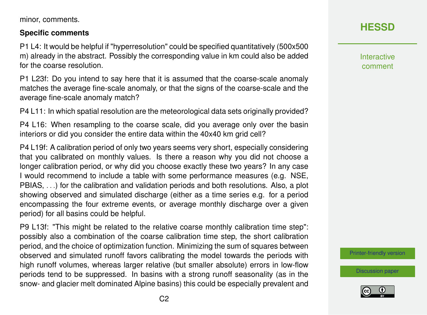minor, comments.

#### **Specific comments**

P1 L4: It would be helpful if "hyperresolution" could be specified quantitatively (500x500 m) already in the abstract. Possibly the corresponding value in km could also be added for the coarse resolution.

P1 L23f: Do you intend to say here that it is assumed that the coarse-scale anomaly matches the average fine-scale anomaly, or that the signs of the coarse-scale and the average fine-scale anomaly match?

P4 L11: In which spatial resolution are the meteorological data sets originally provided?

P4 L16: When resampling to the coarse scale, did you average only over the basin interiors or did you consider the entire data within the 40x40 km grid cell?

P4 L19f: A calibration period of only two years seems very short, especially considering that you calibrated on monthly values. Is there a reason why you did not choose a longer calibration period, or why did you choose exactly these two years? In any case I would recommend to include a table with some performance measures (e.g. NSE, PBIAS, . . .) for the calibration and validation periods and both resolutions. Also, a plot showing observed and simulated discharge (either as a time series e.g. for a period encompassing the four extreme events, or average monthly discharge over a given period) for all basins could be helpful.

P9 L13f: "This might be related to the relative coarse monthly calibration time step": possibly also a combination of the coarse calibration time step, the short calibration period, and the choice of optimization function. Minimizing the sum of squares between observed and simulated runoff favors calibrating the model towards the periods with high runoff volumes, whereas larger relative (but smaller absolute) errors in low-flow periods tend to be suppressed. In basins with a strong runoff seasonality (as in the snow- and glacier melt dominated Alpine basins) this could be especially prevalent and

# **[HESSD](https://www.hydrol-earth-syst-sci-discuss.net/)**

**Interactive** comment

[Printer-friendly version](https://www.hydrol-earth-syst-sci-discuss.net/hess-2017-629/hess-2017-629-RC1-print.pdf)

[Discussion paper](https://www.hydrol-earth-syst-sci-discuss.net/hess-2017-629)